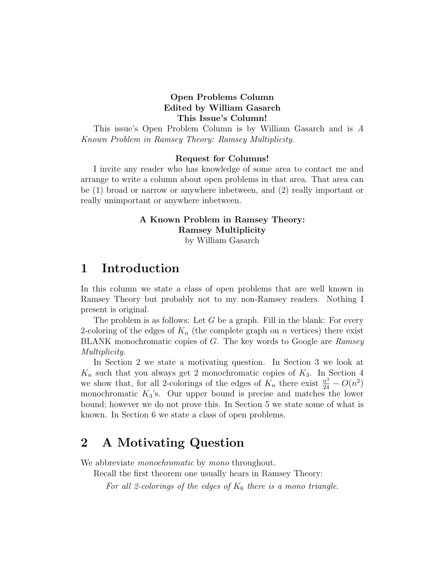### Open Problems Column Edited by William Gasarch This Issue's Column!

This issue's Open Problem Column is by William Gasarch and is A Known Problem in Ramsey Theory: Ramsey Multiplicity.

#### Request for Columns!

I invite any reader who has knowledge of some area to contact me and arrange to write a column about open problems in that area. That area can be (1) broad or narrow or anywhere inbetween, and (2) really important or really unimportant or anywhere inbetween.

### A Known Problem in Ramsey Theory: Ramsey Multiplicity

by William Gasarch

### 1 Introduction

In this column we state a class of open problems that are well known in Ramsey Theory but probably not to my non-Ramsey readers. Nothing I present is original.

The problem is as follows: Let  $G$  be a graph. Fill in the blank: For every 2-coloring of the edges of  $K_n$  (the complete graph on n vertices) there exist BLANK monochromatic copies of G. The key words to Google are Ramsey Multiplicity.

In Section 2 we state a motivating question. In Section 3 we look at  $K_n$  such that you always get 2 monochromatic copies of  $K_3$ . In Section 4 we show that, for all 2-colorings of the edges of  $K_n$  there exist  $\frac{n^3}{24} - O(n^2)$ monochromatic  $K_3$ 's. Our upper bound is precise and matches the lower bound; however we do not prove this. In Section 5 we state some of what is known. In Section 6 we state a class of open problems.

### 2 A Motivating Question

We abbreviate *monochromatic* by *mono* throughout.

Recall the first theorem one usually hears in Ramsey Theory:

For all 2-colorings of the edges of  $K_6$  there is a mono triangle.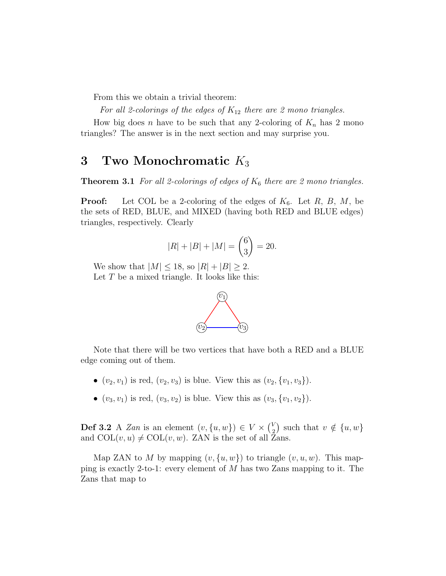From this we obtain a trivial theorem:

For all 2-colorings of the edges of  $K_{12}$  there are 2 mono triangles.

How big does n have to be such that any 2-coloring of  $K_n$  has 2 mono triangles? The answer is in the next section and may surprise you.

## 3 Two Monochromatic  $K_3$

**Theorem 3.1** For all 2-colorings of edges of  $K_6$  there are 2 mono triangles.

**Proof:** Let COL be a 2-coloring of the edges of  $K_6$ . Let  $R$ ,  $B$ ,  $M$ , be the sets of RED, BLUE, and MIXED (having both RED and BLUE edges) triangles, respectively. Clearly

$$
|R| + |B| + |M| = \binom{6}{3} = 20.
$$

We show that  $|M| \leq 18$ , so  $|R| + |B| \geq 2$ . Let  $T$  be a mixed triangle. It looks like this:



Note that there will be two vertices that have both a RED and a BLUE edge coming out of them.

- $(v_2, v_1)$  is red,  $(v_2, v_3)$  is blue. View this as  $(v_2, \{v_1, v_3\})$ .
- $(v_3, v_1)$  is red,  $(v_3, v_2)$  is blue. View this as  $(v_3, \{v_1, v_2\})$ .

**Def 3.2** A Zan is an element  $(v, \{u, w\}) \in V \times \binom{V}{2}$  $\binom{V}{2}$  such that  $v \notin \{u, w\}$ and  $COL(v, u) \neq COL(v, w)$ . ZAN is the set of all Zans.

Map ZAN to M by mapping  $(v, \{u, w\})$  to triangle  $(v, u, w)$ . This mapping is exactly 2-to-1: every element of  $M$  has two Zans mapping to it. The Zans that map to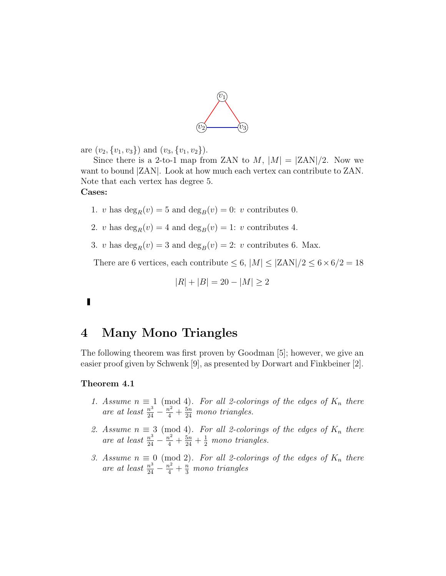

are  $(v_2, \{v_1, v_3\})$  and  $(v_3, \{v_1, v_2\})$ .

Since there is a 2-to-1 map from ZAN to  $M$ ,  $|M| = |ZAN|/2$ . Now we want to bound |ZAN|. Look at how much each vertex can contribute to ZAN. Note that each vertex has degree 5. Cases:

- 1. v has  $\deg_B(v) = 5$  and  $\deg_B(v) = 0$ : v contributes 0.
- 2. v has  $\deg_B(v) = 4$  and  $\deg_B(v) = 1$ : v contributes 4.
- 3. v has  $\deg_R(v) = 3$  and  $\deg_B(v) = 2$ : v contributes 6. Max.

There are 6 vertices, each contribute  $\leq$  6,  $|M| \leq |\mathrm{ZAN}|/2 \leq 6 \times 6/2 = 18$ 

$$
|R| + |B| = 20 - |M| \ge 2
$$

### Г

### 4 Many Mono Triangles

The following theorem was first proven by Goodman [5]; however, we give an easier proof given by Schwenk [9], as presented by Dorwart and Finkbeiner [2].

#### Theorem 4.1

- 1. Assume  $n \equiv 1 \pmod{4}$ . For all 2-colorings of the edges of  $K_n$  there are at least  $\frac{n^3}{24} - \frac{n^2}{4} + \frac{5n}{24}$  mono triangles.
- 2. Assume  $n \equiv 3 \pmod{4}$ . For all 2-colorings of the edges of  $K_n$  there are at least  $\frac{n^3}{24} - \frac{n^2}{4} + \frac{5n}{24} + \frac{1}{2}$  mono triangles.
- 3. Assume  $n \equiv 0 \pmod{2}$ . For all 2-colorings of the edges of  $K_n$  there are at least  $\frac{n^3}{24} - \frac{n^2}{4} + \frac{n}{3}$  mono triangles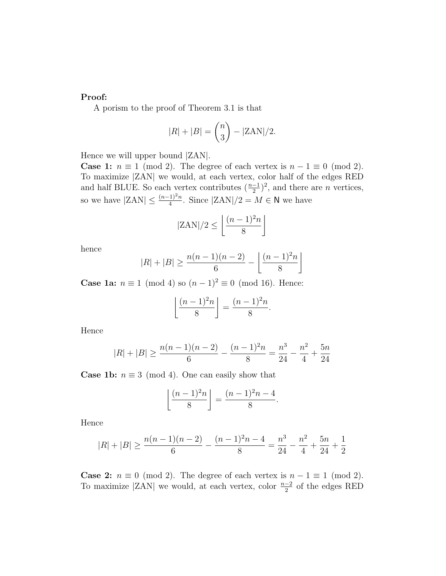#### Proof:

A porism to the proof of Theorem 3.1 is that

$$
|R| + |B| = \binom{n}{3} - |\text{ZAN}|/2.
$$

Hence we will upper bound |ZAN|.

**Case 1:**  $n \equiv 1 \pmod{2}$ . The degree of each vertex is  $n - 1 \equiv 0 \pmod{2}$ . To maximize |ZAN| we would, at each vertex, color half of the edges RED and half BLUE. So each vertex contributes  $(\frac{n-1}{2})^2$ , and there are *n* vertices, so we have  $|ZAN| \leq \frac{(n-1)^2 n}{4}$ . Since  $|ZAN|/2 = M \in \mathbb{N}$  we have

$$
|\text{ZAN}|/2 \le \left\lfloor \frac{(n-1)^2 n}{8} \right\rfloor
$$

hence

$$
|R| + |B| \ge \frac{n(n-1)(n-2)}{6} - \left\lfloor \frac{(n-1)^2n}{8} \right\rfloor
$$

**Case 1a:**  $n \equiv 1 \pmod{4}$  so  $(n-1)^2 \equiv 0 \pmod{16}$ . Hence:

$$
\left\lfloor \frac{(n-1)^2n}{8} \right\rfloor = \frac{(n-1)^2n}{8}.
$$

Hence

$$
|R| + |B| \ge \frac{n(n-1)(n-2)}{6} - \frac{(n-1)^2n}{8} = \frac{n^3}{24} - \frac{n^2}{4} + \frac{5n}{24}
$$

**Case 1b:**  $n \equiv 3 \pmod{4}$ . One can easily show that

$$
\left\lfloor \frac{(n-1)^2n}{8} \right\rfloor = \frac{(n-1)^2n - 4}{8}.
$$

Hence

$$
|R|+|B| \geq \frac{n(n-1)(n-2)}{6} - \frac{(n-1)^2n - 4}{8} = \frac{n^3}{24} - \frac{n^2}{4} + \frac{5n}{24} + \frac{1}{2}
$$

**Case 2:**  $n \equiv 0 \pmod{2}$ . The degree of each vertex is  $n - 1 \equiv 1 \pmod{2}$ . To maximize |ZAN| we would, at each vertex, color  $\frac{n-2}{2}$  of the edges RED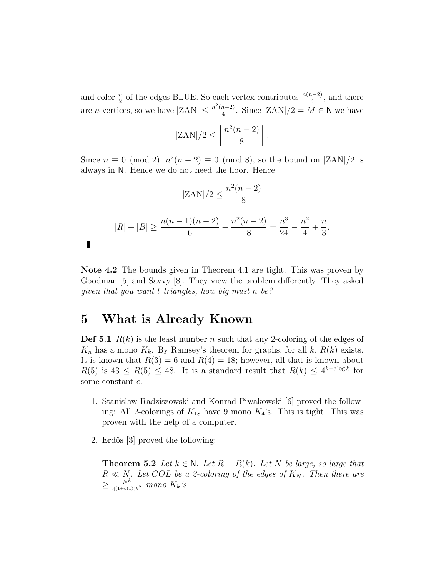and color  $\frac{n}{2}$  of the edges BLUE. So each vertex contributes  $\frac{n(n-2)}{4}$ , and there are *n* vertices, so we have  $|ZAN| \leq \frac{n^2(n-2)}{4}$  $\frac{n-2}{4}$ . Since  $|ZAN|/2 = M \in \mathbb{N}$  we have

$$
|\text{ZAN}|/2 \leq \left\lfloor \frac{n^2(n-2)}{8} \right\rfloor.
$$

Since  $n \equiv 0 \pmod{2}$ ,  $n^2(n-2) \equiv 0 \pmod{8}$ , so the bound on  $\text{ZAN}/2$  is always in N. Hence we do not need the floor. Hence

$$
|ZAN|/2 \le \frac{n^2(n-2)}{8}
$$
  

$$
|R| + |B| \ge \frac{n(n-1)(n-2)}{6} - \frac{n^2(n-2)}{8} = \frac{n^3}{24} - \frac{n^2}{4} + \frac{n}{3}.
$$

Note 4.2 The bounds given in Theorem 4.1 are tight. This was proven by Goodman [5] and Savvy [8]. They view the problem differently. They asked given that you want t triangles, how big must n be?

### 5 What is Already Known

П

**Def 5.1**  $R(k)$  is the least number n such that any 2-coloring of the edges of  $K_n$  has a mono  $K_k$ . By Ramsey's theorem for graphs, for all k,  $R(k)$  exists. It is known that  $R(3) = 6$  and  $R(4) = 18$ ; however, all that is known about  $R(5)$  is  $43 \le R(5) \le 48$ . It is a standard result that  $R(k) \le 4^{k-c \log k}$  for some constant c.

- 1. Stanislaw Radziszowski and Konrad Piwakowski [6] proved the following: All 2-colorings of  $K_{18}$  have 9 mono  $K_4$ 's. This is tight. This was proven with the help of a computer.
- 2. Erdős [3] proved the following:

**Theorem 5.2** Let  $k \in \mathbb{N}$ . Let  $R = R(k)$ . Let N be large, so large that  $R \ll N$ . Let COL be a 2-coloring of the edges of  $K_N$ . Then there are  $\geq \frac{N^k}{1(1+o(1))}$  $\frac{N^{\kappa}}{4^{(1+o(1))k^2}}$  mono  $K_k$ 's.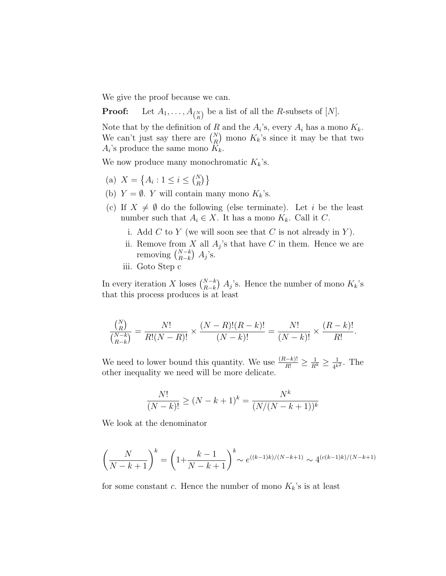We give the proof because we can.

**Proof:** Let  $A_1, \ldots, A_{\binom{N}{R}}$  be a list of all the *R*-subsets of [*N*].

Note that by the definition of R and the  $A_i$ 's, every  $A_i$  has a mono  $K_k$ . We can't just say there are  $\binom{N}{R}$  mono  $K_k$ 's since it may be that two  $A_i$ 's produce the same mono  $K_k$ .

We now produce many monochromatic  $K_k$ 's.

- (a)  $X = \{A_i : 1 \le i \le {N \choose R} \}$
- (b)  $Y = \emptyset$ . Y will contain many mono  $K_k$ 's.
- (c) If  $X \neq \emptyset$  do the following (else terminate). Let i be the least number such that  $A_i \in X$ . It has a mono  $K_k$ . Call it C.
	- i. Add  $C$  to  $Y$  (we will soon see that  $C$  is not already in  $Y$ ).
	- ii. Remove from X all  $A_j$ 's that have C in them. Hence we are removing  $\binom{N-k}{R-k}$   $A_j$ 's.
	- iii. Goto Step c

In every iteration X loses  $\binom{N-k}{R-k}$  A<sub>j</sub>'s. Hence the number of mono K<sub>k</sub>'s that this process produces is at least

$$
\frac{\binom{N}{R}}{\binom{N-k}{R-k}} = \frac{N!}{R!(N-R)!} \times \frac{(N-R)!(R-k)!}{(N-k)!} = \frac{N!}{(N-k)!} \times \frac{(R-k)!}{R!}.
$$

We need to lower bound this quantity. We use  $\frac{(R-k)!}{R!} \geq \frac{1}{R^k} \geq \frac{1}{4^k}$  $\frac{1}{4^{k^2}}$ . The other inequality we need will be more delicate.

$$
\frac{N!}{(N-k)!} \ge (N-k+1)^k = \frac{N^k}{(N/(N-k+1))^k}
$$

We look at the denominator

$$
\left(\frac{N}{N-k+1}\right)^k = \left(1 + \frac{k-1}{N-k+1}\right)^k \sim e^{((k-1)k)/(N-k+1)} \sim 4^{(c(k-1)k)/(N-k+1)}
$$

for some constant c. Hence the number of mono  $K_k$ 's is at least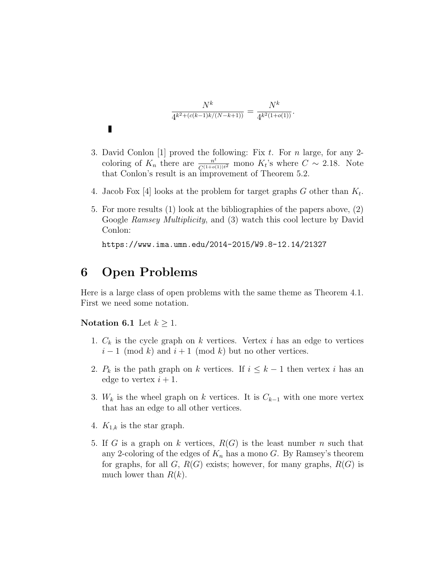$$
\frac{N^k}{4^{k^2+(c(k-1)k/(N-k+1))}} = \frac{N^k}{4^{k^2(1+o(1))}}.
$$

- 3. David Conlon [1] proved the following: Fix  $t$ . For n large, for any 2coloring of  $K_n$  there are  $\frac{n^t}{C^{(1+o(1))t^2}}$  mono  $K_t$ 's where  $C \sim 2.18$ . Note that Conlon's result is an improvement of Theorem 5.2.
- 4. Jacob Fox [4] looks at the problem for target graphs  $G$  other than  $K_t$ .
- 5. For more results (1) look at the bibliographies of the papers above, (2) Google Ramsey Multiplicity, and (3) watch this cool lecture by David Conlon:

https://www.ima.umn.edu/2014-2015/W9.8-12.14/21327

### 6 Open Problems

Here is a large class of open problems with the same theme as Theorem 4.1. First we need some notation.

#### Notation 6.1 Let  $k \geq 1$ .

 $\blacksquare$ 

- 1.  $C_k$  is the cycle graph on k vertices. Vertex i has an edge to vertices  $i-1 \pmod{k}$  and  $i+1 \pmod{k}$  but no other vertices.
- 2.  $P_k$  is the path graph on k vertices. If  $i \leq k-1$  then vertex i has an edge to vertex  $i + 1$ .
- 3. W<sub>k</sub> is the wheel graph on k vertices. It is  $C_{k-1}$  with one more vertex that has an edge to all other vertices.
- 4.  $K_{1,k}$  is the star graph.
- 5. If G is a graph on k vertices,  $R(G)$  is the least number n such that any 2-coloring of the edges of  $K_n$  has a mono G. By Ramsey's theorem for graphs, for all  $G, R(G)$  exists; however, for many graphs,  $R(G)$  is much lower than  $R(k)$ .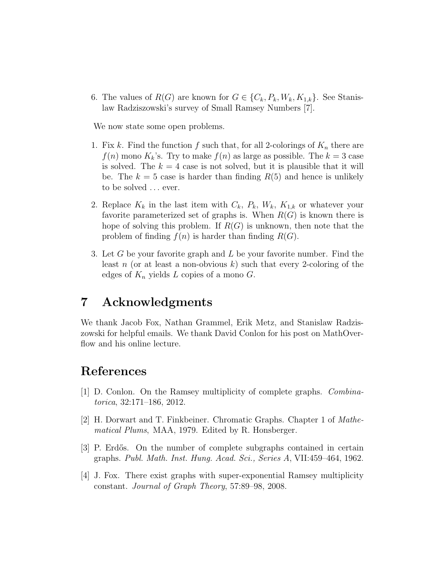6. The values of  $R(G)$  are known for  $G \in \{C_k, P_k, W_k, K_{1,k}\}.$  See Stanislaw Radziszowski's survey of Small Ramsey Numbers [7].

We now state some open problems.

- 1. Fix k. Find the function f such that, for all 2-colorings of  $K_n$  there are  $f(n)$  mono  $K_k$ 's. Try to make  $f(n)$  as large as possible. The  $k=3$  case is solved. The  $k = 4$  case is not solved, but it is plausible that it will be. The  $k = 5$  case is harder than finding  $R(5)$  and hence is unlikely to be solved ... ever.
- 2. Replace  $K_k$  in the last item with  $C_k$ ,  $P_k$ ,  $W_k$ ,  $K_{1,k}$  or whatever your favorite parameterized set of graphs is. When  $R(G)$  is known there is hope of solving this problem. If  $R(G)$  is unknown, then note that the problem of finding  $f(n)$  is harder than finding  $R(G)$ .
- 3. Let G be your favorite graph and L be your favorite number. Find the least n (or at least a non-obvious k) such that every 2-coloring of the edges of  $K_n$  yields L copies of a mono G.

## 7 Acknowledgments

We thank Jacob Fox, Nathan Grammel, Erik Metz, and Stanislaw Radziszowski for helpful emails. We thank David Conlon for his post on MathOverflow and his online lecture.

# References

- [1] D. Conlon. On the Ramsey multiplicity of complete graphs. Combinatorica, 32:171–186, 2012.
- [2] H. Dorwart and T. Finkbeiner. Chromatic Graphs. Chapter 1 of Mathematical Plums, MAA, 1979. Edited by R. Honsberger.
- [3] P. Erdős. On the number of complete subgraphs contained in certain graphs. Publ. Math. Inst. Hung. Acad. Sci., Series A, VII:459–464, 1962.
- [4] J. Fox. There exist graphs with super-exponential Ramsey multiplicity constant. Journal of Graph Theory, 57:89–98, 2008.